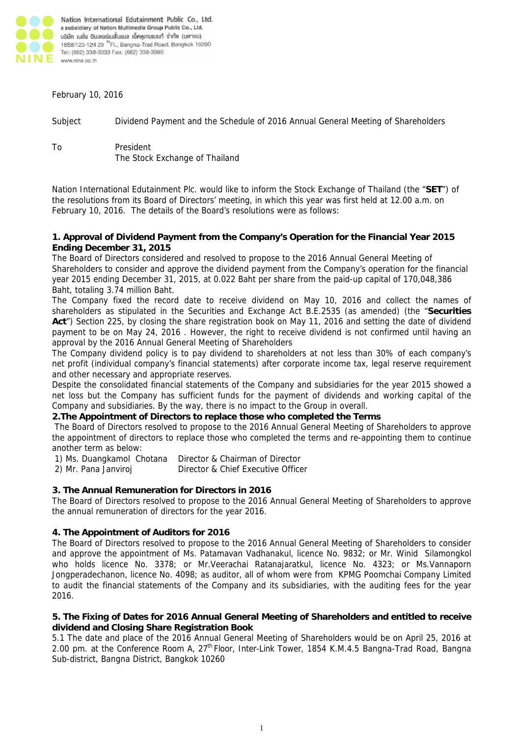

Nation International Edutainment Public Co., Ltd. a subsidiary of Nation Multimedia Group Public Co., Ltd. บริษัท เนชั่น อินเตอร์เนชั่นแนล เอ็คดูเกนเมนท์ จำกัด (มหาชน) 1858/123-124 29 <sup>fh</sup> Fl., Bangna-Trad Road, Bangkok 10260 Tel: (662) 338-3333 Fax: (662) 338-3986 www.nine.co.th

February 10, 2016

Subject Dividend Payment and the Schedule of 2016 Annual General Meeting of Shareholders

To President The Stock Exchange of Thailand

Nation International Edutainment Plc. would like to inform the Stock Exchange of Thailand (the "**SET**") of the resolutions from its Board of Directors' meeting, in which this year was first held at 12.00 a.m. on February 10, 2016. The details of the Board's resolutions were as follows:

#### **1. Approval of Dividend Payment from the Company's Operation for the Financial Year 2015 Ending December 31, 2015**

The Board of Directors considered and resolved to propose to the 2016 Annual General Meeting of Shareholders to consider and approve the dividend payment from the Company's operation for the financial year 2015 ending December 31, 2015, at 0.022 Baht per share from the paid-up capital of 170,048,386 Baht, totaling 3.74 million Baht.

The Company fixed the record date to receive dividend on May 10, 2016 and collect the names of shareholders as stipulated in the Securities and Exchange Act B.E.2535 (as amended) (the "**Securities Act**") Section 225, by closing the share registration book on May 11, 2016 and setting the date of dividend payment to be on May 24, 2016 . However, the right to receive dividend is not confirmed until having an approval by the 2016 Annual General Meeting of Shareholders

The Company dividend policy is to pay dividend to shareholders at not less than 30% of each company's net profit (individual company's financial statements) after corporate income tax, legal reserve requirement and other necessary and appropriate reserves.

Despite the consolidated financial statements of the Company and subsidiaries for the year 2015 showed a net loss but the Company has sufficient funds for the payment of dividends and working capital of the Company and subsidiaries. By the way, there is no impact to the Group in overall.

# **2.The Appointment of Directors to replace those who completed the Terms**

The Board of Directors resolved to propose to the 2016 Annual General Meeting of Shareholders to approve the appointment of directors to replace those who completed the terms and re-appointing them to continue another term as below:

1) Ms. Duangkamol Chotana Director & Chairman of Director

2) Mr. Pana Janviroj Director & Chief Executive Officer

# **3. The Annual Remuneration for Directors in 2016**

The Board of Directors resolved to propose to the 2016 Annual General Meeting of Shareholders to approve the annual remuneration of directors for the year 2016.

### **4. The Appointment of Auditors for 2016**

The Board of Directors resolved to propose to the 2016 Annual General Meeting of Shareholders to consider and approve the appointment of Ms. Patamavan Vadhanakul, licence No. 9832; or Mr. Winid Silamongkol who holds licence No. 3378; or Mr.Veerachai Ratanajaratkul, licence No. 4323; or Ms.Vannaporn Jongperadechanon, licence No. 4098; as auditor, all of whom were from KPMG Poomchai Company Limited to audit the financial statements of the Company and its subsidiaries, with the auditing fees for the year 2016.

### **5. The Fixing of Dates for 2016 Annual General Meeting of Shareholders and entitled to receive dividend and Closing Share Registration Book**

5.1 The date and place of the 2016 Annual General Meeting of Shareholders would be on April 25, 2016 at 2.00 pm. at the Conference Room A, 27<sup>th</sup> Floor, Inter-Link Tower, 1854 K.M.4.5 Bangna-Trad Road, Bangna Sub-district, Bangna District, Bangkok 10260